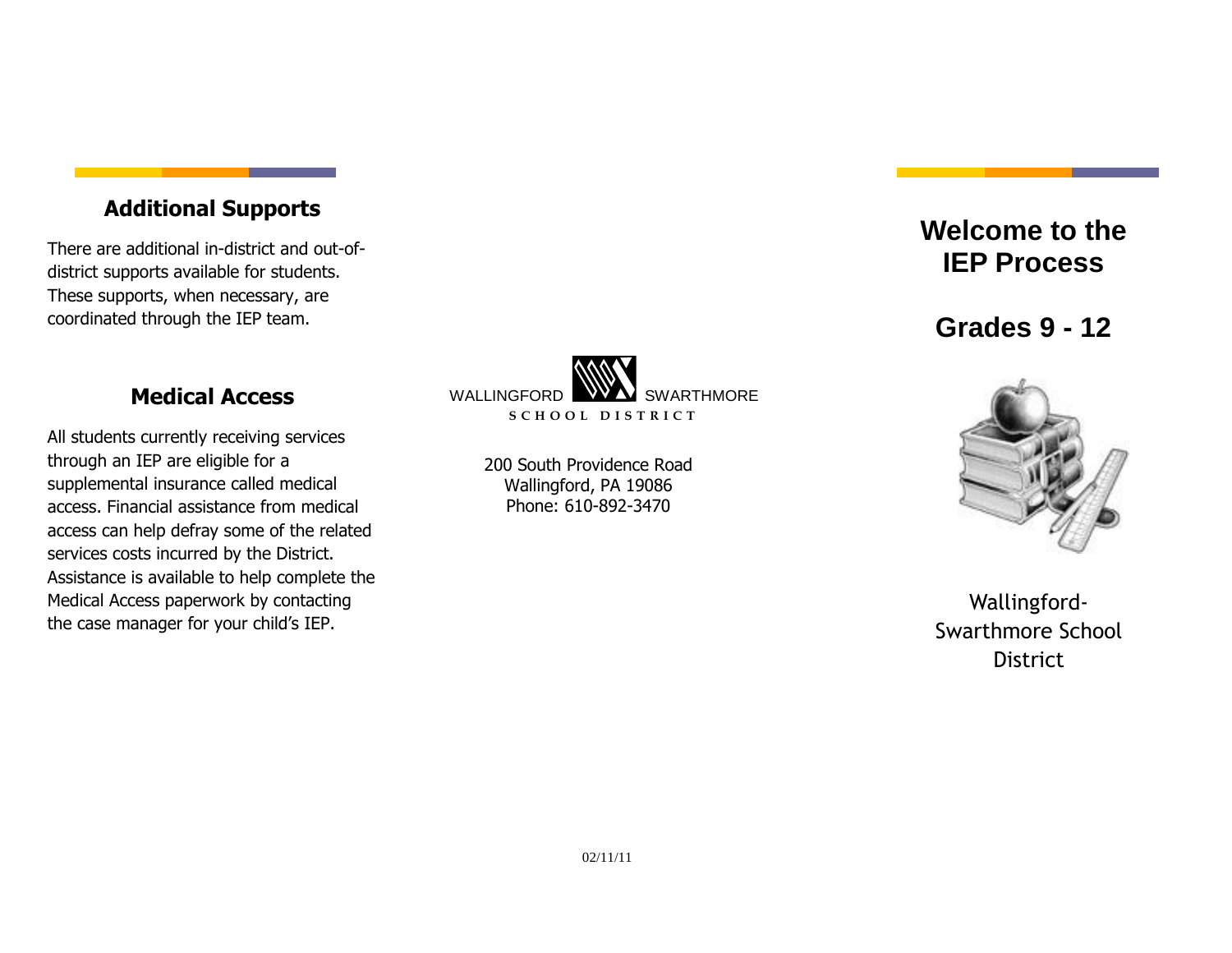#### **Additional Supports**

There are additional in-district and out-ofdistrict supports available for students. These supports, when necessary, are coordinated through the IEP team.

#### **Medical Access**

All students currently receiving services through an IEP are eligible for a supplemental insurance called medical access. Financial assistance from medical access can help defray some of the related services costs incurred by the District. Assistance is available to help complete the Medical Access paperwork by contacting the case manager for your child's IEP.



200 South Providence Road Wallingford, PA 19086 Phone: 610-892-3470

# **Welcome to the IEP Process**

**Grades 9 - 12**



Wallingford-Swarthmore School **District**